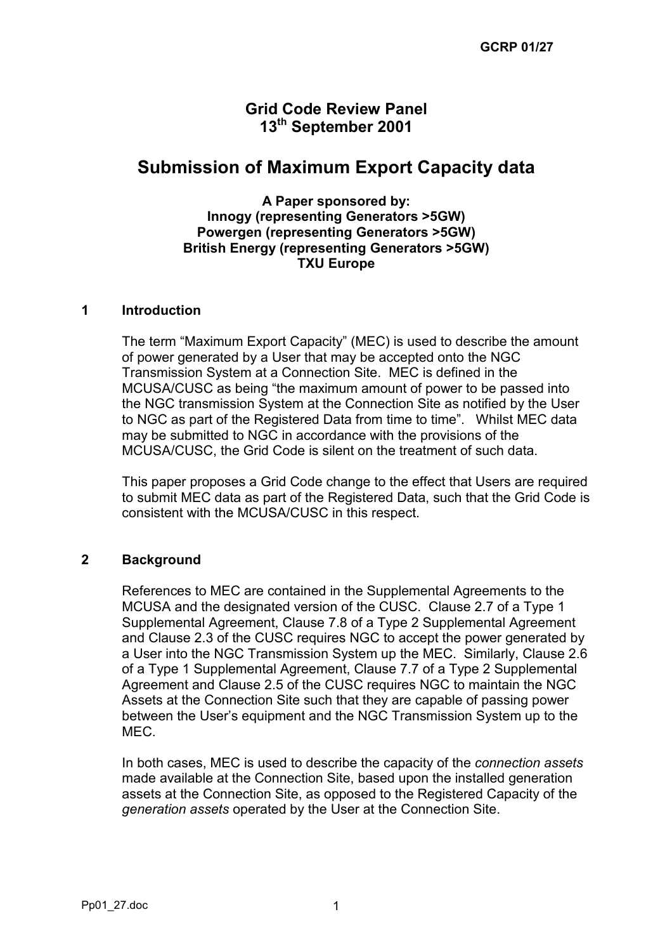# **Grid Code Review Panel 13th September 2001**

# **Submission of Maximum Export Capacity data**

**A Paper sponsored by: Innogy (representing Generators >5GW) Powergen (representing Generators >5GW) British Energy (representing Generators >5GW) TXU Europe**

#### **1 Introduction**

The term "Maximum Export Capacity" (MEC) is used to describe the amount of power generated by a User that may be accepted onto the NGC Transmission System at a Connection Site. MEC is defined in the MCUSA/CUSC as being "the maximum amount of power to be passed into the NGC transmission System at the Connection Site as notified by the User to NGC as part of the Registered Data from time to time". Whilst MEC data may be submitted to NGC in accordance with the provisions of the MCUSA/CUSC, the Grid Code is silent on the treatment of such data.

This paper proposes a Grid Code change to the effect that Users are required to submit MEC data as part of the Registered Data, such that the Grid Code is consistent with the MCUSA/CUSC in this respect.

### **2 Background**

References to MEC are contained in the Supplemental Agreements to the MCUSA and the designated version of the CUSC. Clause 2.7 of a Type 1 Supplemental Agreement, Clause 7.8 of a Type 2 Supplemental Agreement and Clause 2.3 of the CUSC requires NGC to accept the power generated by a User into the NGC Transmission System up the MEC. Similarly, Clause 2.6 of a Type 1 Supplemental Agreement, Clause 7.7 of a Type 2 Supplemental Agreement and Clause 2.5 of the CUSC requires NGC to maintain the NGC Assets at the Connection Site such that they are capable of passing power between the User's equipment and the NGC Transmission System up to the MEC.

In both cases, MEC is used to describe the capacity of the *connection assets* made available at the Connection Site, based upon the installed generation assets at the Connection Site, as opposed to the Registered Capacity of the *generation assets* operated by the User at the Connection Site.